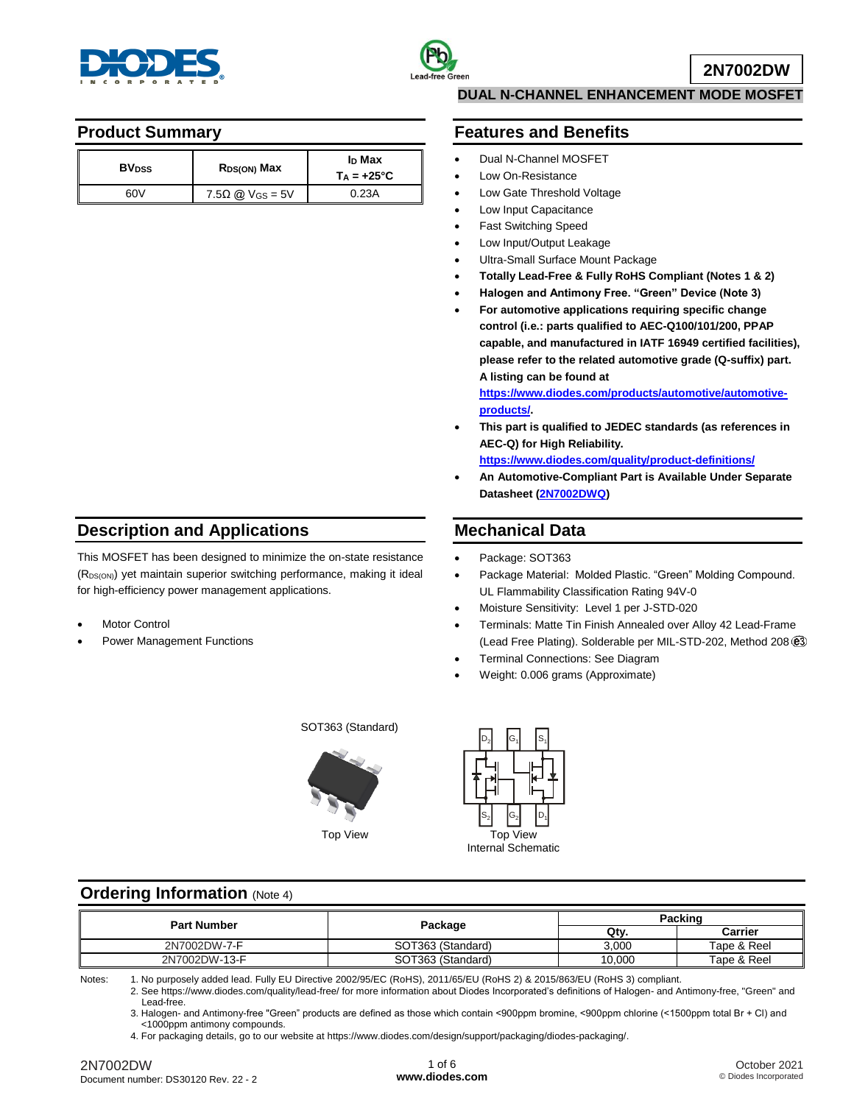



#### **Product Summary**

| <b>BV</b> <sub>pss</sub> | R <sub>DS(ON)</sub> Max | I <sub>D</sub> Max<br>$T_A = +25^{\circ}C$ |
|--------------------------|-------------------------|--------------------------------------------|
| 60V                      | $7.5\Omega$ @ Vgs = 5V  | 0.23A                                      |

### **DUAL N-CHANNEL ENHANCEMENT MODE MOSFET**

#### **Features and Benefits**

- Dual N-Channel MOSFET
- Low On-Resistance
- Low Gate Threshold Voltage
- Low Input Capacitance
- Fast Switching Speed
- Low Input/Output Leakage
- Ultra-Small Surface Mount Package
- **Totally Lead-Free & Fully RoHS Compliant (Notes 1 & 2)**
- **Halogen and Antimony Free. "Green" Device (Note 3)**
- **For automotive applications requiring specific change control (i.e.: parts qualified to AEC-Q100/101/200, PPAP capable, and manufactured in IATF 16949 certified facilities), please refer to the related automotive grade (Q-suffix) part. A listing can be found at**

**[https://www.diodes.com/products/automotive/automotive](https://www.diodes.com/products/automotive/automotive-products/)[products/.](https://www.diodes.com/products/automotive/automotive-products/)**

 **This part is qualified to JEDEC standards (as references in AEC-Q) for High Reliability.**

**<https://www.diodes.com/quality/product-definitions/>**

 **An Automotive-Compliant Part is Available Under Separate Datasheet [\(2N7002DWQ\)](https://www.diodes.com/assets/Datasheets/2N7002DWQ.pdf)**

# **Mechanical Data**

- Package: SOT363
- Package Material: Molded Plastic. "Green" Molding Compound. UL Flammability Classification Rating 94V-0
- Moisture Sensitivity: Level 1 per J-STD-020
- Terminals: Matte Tin Finish Annealed over Alloy 42 Lead-Frame (Lead Free Plating). Solderable per MIL-STD-202, Method 208
- Terminal Connections: See Diagram
- Weight: 0.006 grams (Approximate)

Top View Top View Internal Schematic  $S<sub>1</sub>$  $D_1$  $D<sub>2</sub>$  $S<sub>2</sub>$  $G<sub>1</sub>$  $G<sub>2</sub>$ 

#### **Ordering Information** (Note 4)

**Description and Applications**

for high-efficiency power management applications.

Power Management Functions

Motor Control

This MOSFET has been designed to minimize the on-state resistance  $(R_{DS(ON)})$  yet maintain superior switching performance, making it ideal

| <b>Part Number</b> | Package           | Packing |             |  |  |
|--------------------|-------------------|---------|-------------|--|--|
|                    |                   | Qtv.    | Carrier     |  |  |
| 2N7002DW-7-F       | SOT363 (Standard) | 3.000   | Tape & Reel |  |  |
| 2N7002DW-13-F      | SOT363 (Standard) | 10.000  | Tape & Reel |  |  |

Notes: 1. No purposely added lead. Fully EU Directive 2002/95/EC (RoHS), 2011/65/EU (RoHS 2) & 2015/863/EU (RoHS 3) compliant.

2. See https://www.diodes.com/quality/lead-free/ for more information about Diodes Incorporated's definitions of Halogen- and Antimony-free, "Green" and Lead-free.

3. Halogen- and Antimony-free "Green" products are defined as those which contain <900ppm bromine, <900ppm chlorine (<1500ppm total Br + Cl) and <1000ppm antimony compounds.

4. For packaging details, go to our website at https://www.diodes.com/design/support/packaging/diodes-packaging/.

SOT363 (Standard)

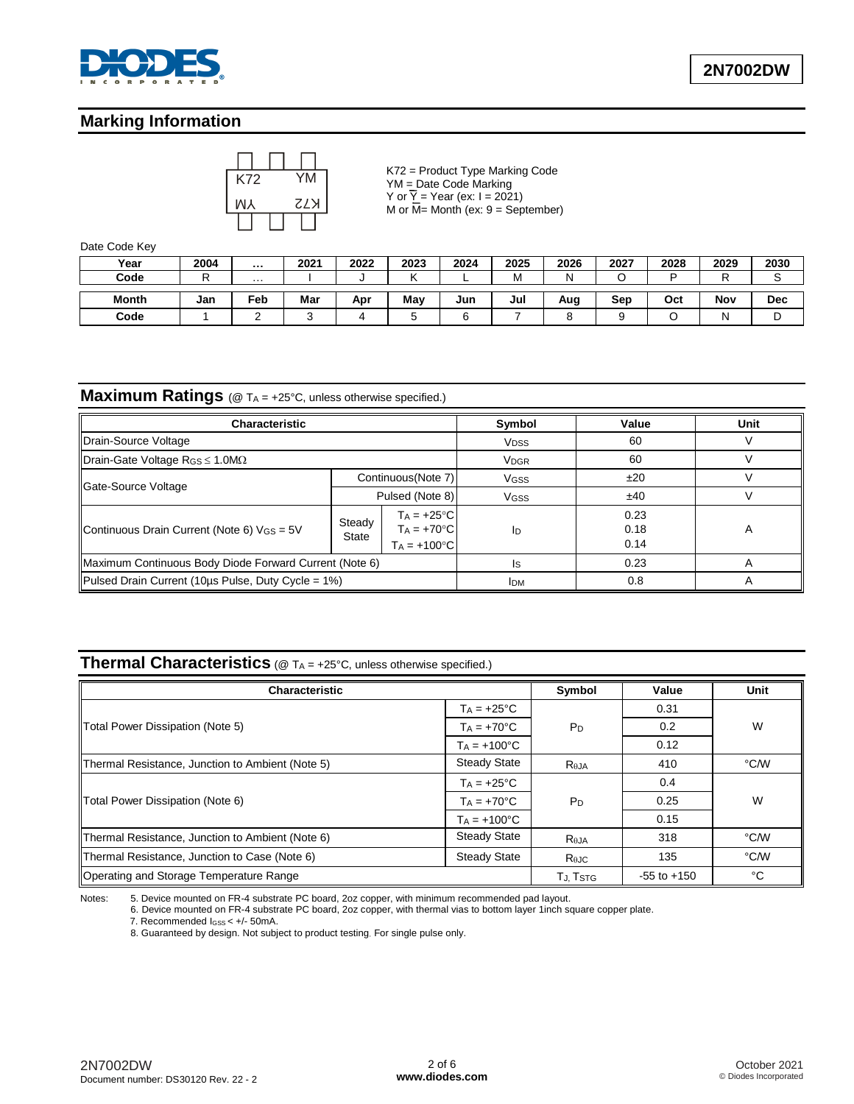

## **Marking Information**



K72 = Product Type Marking Code YM = Date Code Marking Y or  $\overline{Y}$  = Year (ex: I = 2021) M or  $\overline{M}$ = Month (ex: 9 = September)

Date Code Key

| Year         | 2004 |     | 2021 | 2022 | 2023 | 2024 | 2025 | 2026 | 2027 | 2028 | 2029 | 2030 |
|--------------|------|-----|------|------|------|------|------|------|------|------|------|------|
| Code         | -    | .   |      |      |      |      | М    | N    |      | ∍    | D    |      |
| <b>Month</b> | Jan  | Feb | Mar  | Apr  | May  | Jun  | Jul  | Aug  | Sep  | Oct  | Nov  | Dec  |
| Code         |      |     |      |      |      |      |      |      |      |      |      |      |

# **Maximum Ratings** (@ TA = +25°C, unless otherwise specified.)

| <b>Characteristic</b>                                  |                                                                         | Symbol                 | Value       | Unit                 |   |
|--------------------------------------------------------|-------------------------------------------------------------------------|------------------------|-------------|----------------------|---|
| Drain-Source Voltage                                   |                                                                         | <b>V<sub>DSS</sub></b> | 60          |                      |   |
| Drain-Gate Voltage RGS $\leq$ 1.0M $\Omega$            |                                                                         | <b>VDGR</b>            | 60          |                      |   |
|                                                        |                                                                         | Continuous (Note 7)    | <b>VGSS</b> | ±20                  |   |
| Gate-Source Voltage                                    | Pulsed (Note 8)                                                         |                        | <b>VGSS</b> | ±40                  |   |
| Continuous Drain Current (Note 6) VGS = 5V             | $Ta = +25^{\circ}C$<br>Steady<br>$Ta = +70°C$<br>State<br>$Ta = +100°C$ |                        | ID          | 0.23<br>0.18<br>0.14 | A |
| Maximum Continuous Body Diode Forward Current (Note 6) |                                                                         | Is                     | 0.23        |                      |   |
| Pulsed Drain Current (10us Pulse, Duty Cycle = 1%)     | <b>IDM</b>                                                              | 0.8                    |             |                      |   |

## **Thermal Characteristics** (@ TA = +25°C, unless otherwise specified.)

| <b>Characteristic</b>                            |                      | Symbol           | Value           | Unit |
|--------------------------------------------------|----------------------|------------------|-----------------|------|
|                                                  | $T_A = +25^{\circ}C$ |                  | 0.31            |      |
| <b>Total Power Dissipation (Note 5)</b>          | $T_A = +70^{\circ}C$ | $P_D$            | 0.2             | W    |
|                                                  | $Ta = +100°C$        |                  | 0.12            |      |
| Thermal Resistance, Junction to Ambient (Note 5) | <b>Steady State</b>  | R <sub>eja</sub> | 410             | °C/W |
|                                                  | $Ta = +25^{\circ}C$  |                  | 0.4             |      |
| Total Power Dissipation (Note 6)                 | $Ta = +70°C$         | P <sub>D</sub>   | 0.25            | W    |
|                                                  | $Ta = +100°C$        |                  | 0.15            |      |
| Thermal Resistance, Junction to Ambient (Note 6) | <b>Steady State</b>  | $R_{\theta$ JA   | 318             | °C/W |
| Thermal Resistance, Junction to Case (Note 6)    | <b>Steady State</b>  | $R_{\theta$ JC   | 135             | °C/W |
| Operating and Storage Temperature Range          |                      | TJ. TSTG         | $-55$ to $+150$ | °C   |

Notes: 5. Device mounted on FR-4 substrate PC board, 2oz copper, with minimum recommended pad layout.

6. Device mounted on FR-4 substrate PC board, 2oz copper, with thermal vias to bottom layer 1inch square copper plate.

7. Recommended IGSS < +/- 50mA.

8. Guaranteed by design. Not subject to product testing. For single pulse only.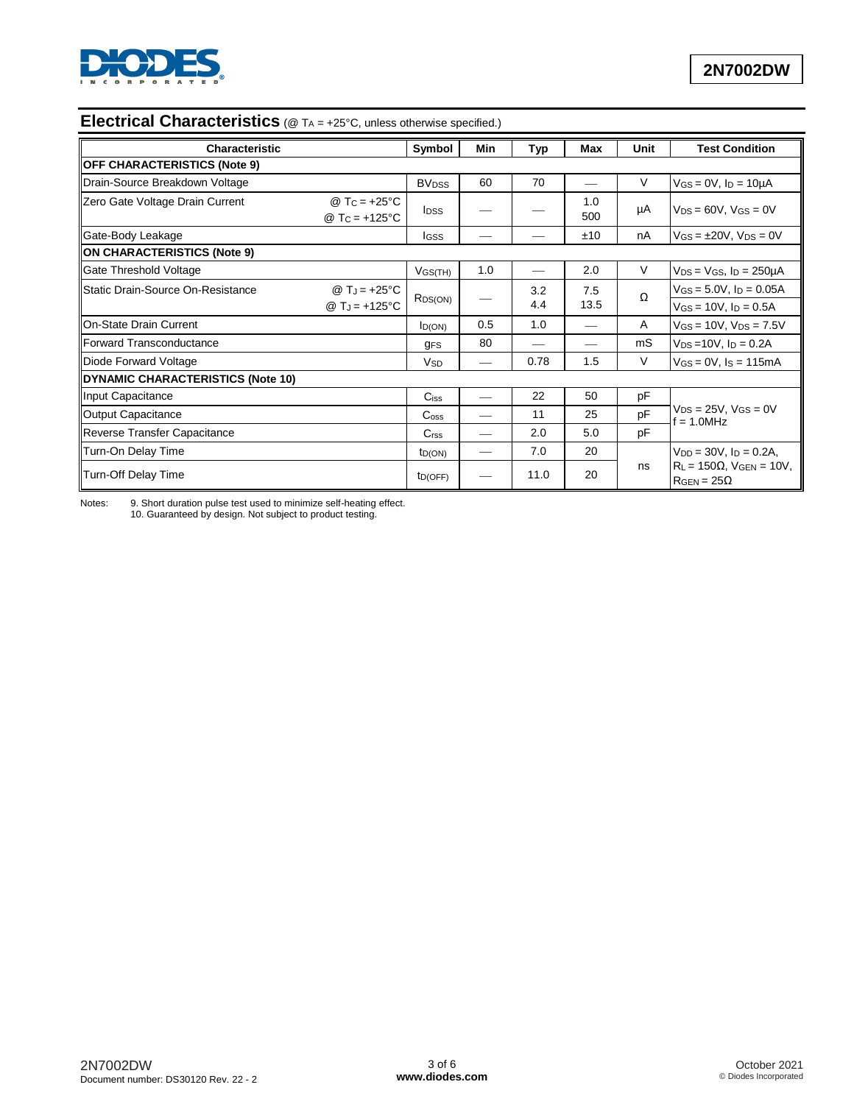

# **Electrical Characteristics** (@ T<sub>A</sub> = +25°C, unless otherwise specified.)

| Symbol<br><b>Characteristic</b>          |                                                                           |                          | Min | <b>Typ</b> | <b>Max</b>  | Unit | <b>Test Condition</b>                                         |
|------------------------------------------|---------------------------------------------------------------------------|--------------------------|-----|------------|-------------|------|---------------------------------------------------------------|
| <b>OFF CHARACTERISTICS (Note 9)</b>      |                                                                           |                          |     |            |             |      |                                                               |
| Drain-Source Breakdown Voltage           |                                                                           | <b>BV</b> <sub>DSS</sub> | 60  | 70         |             | V    | $V$ GS = 0V, $I_D$ = 10µA                                     |
| Zero Gate Voltage Drain Current          | @ T <sub>C</sub> = $+25^{\circ}$ C<br>@ T <sub>C</sub> = $+125^{\circ}$ C | <b>I</b> DSS             |     |            | 1.0<br>500  | μA   | $V_{DS} = 60V$ , $V_{GS} = 0V$                                |
| Gate-Body Leakage                        |                                                                           | <b>I</b> GSS             |     |            | ±10         | nA   | $V$ GS = $\pm$ 20V, V <sub>DS</sub> = 0V                      |
| <b>ON CHARACTERISTICS (Note 9)</b>       |                                                                           |                          |     |            |             |      |                                                               |
| Gate Threshold Voltage                   |                                                                           | $V$ GS(TH)               | 1.0 |            | 2.0         | V    | $V_{DS} = V_{GS}$ , $I_D = 250 \mu A$                         |
| Static Drain-Source On-Resistance        | @ $T_J = +25$ °C                                                          | R <sub>DS(ON)</sub>      |     | 3.2<br>4.4 | 7.5<br>13.5 | Ω    | $V$ GS = 5.0V, $I_D$ = 0.05A                                  |
|                                          | @ $T_J = +125$ °C                                                         |                          |     |            |             |      | $V$ GS = 10V, $I_D$ = 0.5A                                    |
| On-State Drain Current                   |                                                                           | I <sub>D(ON)</sub>       | 0.5 | 1.0        |             | A    | $V_{GS} = 10V$ , $V_{DS} = 7.5V$                              |
| <b>Forward Transconductance</b>          |                                                                           | <b>GFS</b>               | 80  |            |             | mS   | $V_{DS} = 10V$ , $I_D = 0.2A$                                 |
| Diode Forward Voltage                    |                                                                           | <b>V<sub>SD</sub></b>    |     | 0.78       | 1.5         | V    | $V$ <sub>GS</sub> = $0$ V, $I$ <sub>S</sub> = 115mA           |
| <b>DYNAMIC CHARACTERISTICS (Note 10)</b> |                                                                           |                          |     |            |             |      |                                                               |
| Input Capacitance                        |                                                                           | $C$ <sub>iss</sub>       |     | 22         | 50          | рF   |                                                               |
| <b>Output Capacitance</b>                |                                                                           | C <sub>oss</sub>         |     | 11         | 25          | pF   | $V_{DS} = 25V$ , $V_{GS} = 0V$<br>$f = 1.0$ MHz               |
| Reverse Transfer Capacitance             |                                                                           | C <sub>rss</sub>         |     | 2.0        | 5.0         | pF   |                                                               |
| Turn-On Delay Time                       |                                                                           | ID(ON)                   |     | 7.0        | 20          |      | $V_{DD} = 30V$ , $I_D = 0.2A$ ,                               |
| Turn-Off Delay Time                      |                                                                           | ID(OFF)                  |     | 11.0       | 20          | ns   | $R_L = 150\Omega$ , $V_{GEN} = 10V$ ,<br>$R_{GEN} = 25\Omega$ |

Notes: 9. Short duration pulse test used to minimize self-heating effect. 10. Guaranteed by design. Not subject to product testing.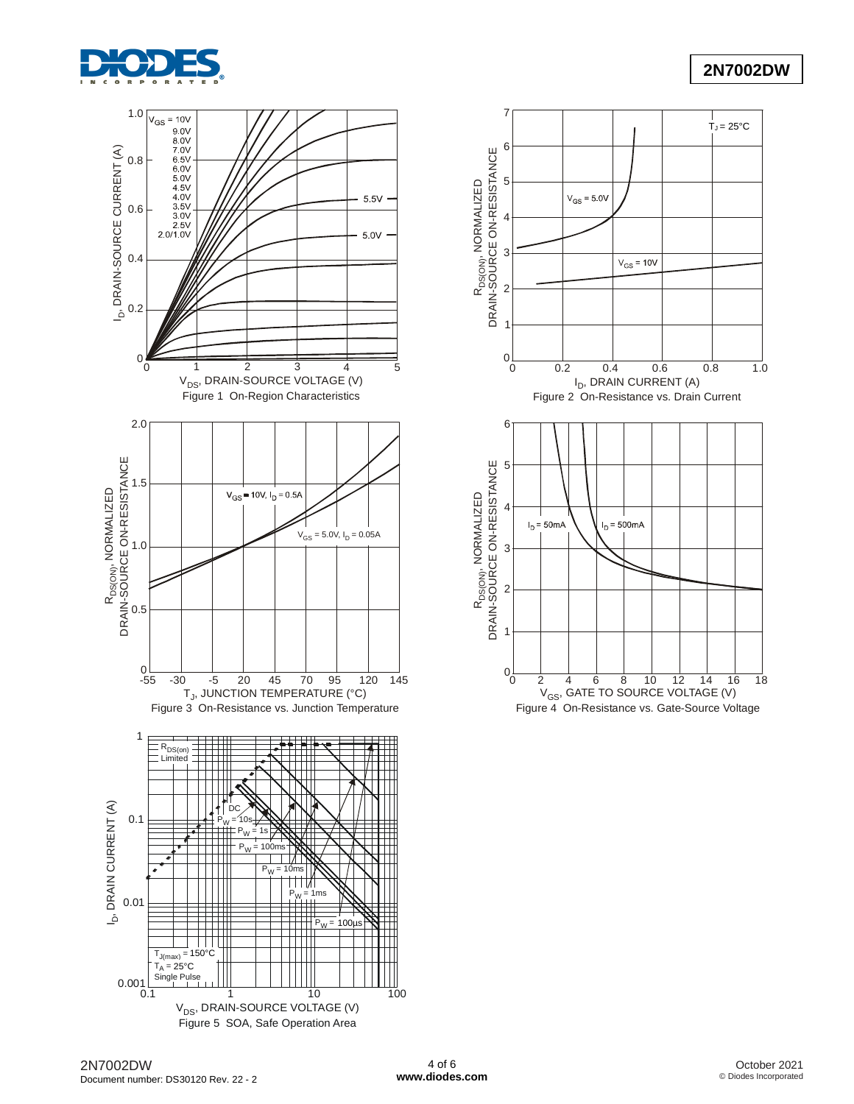

 $T_J = 25^{\circ}C$ 



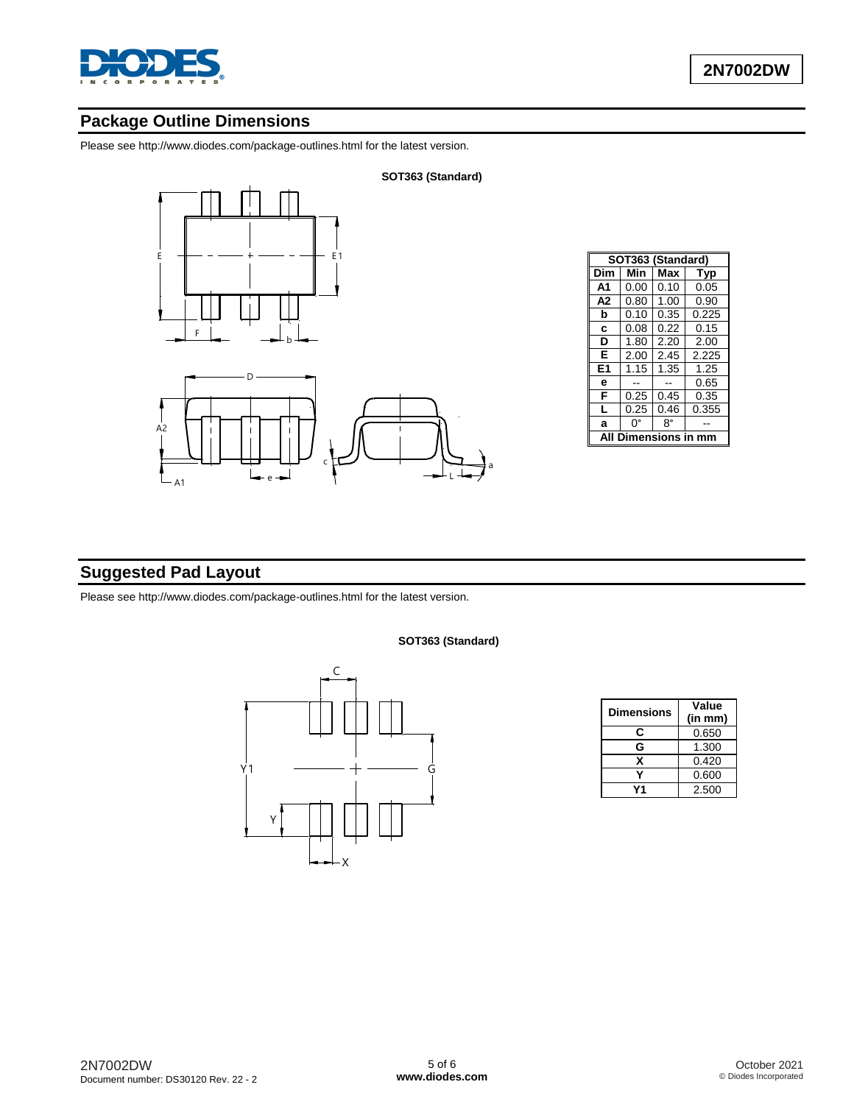

## **Package Outline Dimensions**

Please see http://www.diodes.com/package-outlines.html for the latest version.





| SOT363 (Standard) |      |          |       |  |  |  |  |
|-------------------|------|----------|-------|--|--|--|--|
| Dim               | Min  | Max      | Typ   |  |  |  |  |
| А1                | 0.00 | 0.10     | 0.05  |  |  |  |  |
| A <sub>2</sub>    | 0.80 | 1.00     | 0.90  |  |  |  |  |
| b                 | 0.10 | 0.35     | 0.225 |  |  |  |  |
| C                 | 0.08 | 0.22     | 0.15  |  |  |  |  |
| D                 | 1.80 | 2.20     | 2.00  |  |  |  |  |
| Е                 | 2.00 | 2.45     | 2.225 |  |  |  |  |
| E1                | 1.15 | 1.35     | 1.25  |  |  |  |  |
| е                 |      |          | 0.65  |  |  |  |  |
| F                 | 0.25 | 0.45     | 0.35  |  |  |  |  |
| L                 | 0.25 | 0.46     | 0.355 |  |  |  |  |
| a                 | 0°   | 8°       |       |  |  |  |  |
| A                 | Dil  | nensions |       |  |  |  |  |
|                   |      |          |       |  |  |  |  |

# **Suggested Pad Layout**

Please see http://www.diodes.com/package-outlines.html for the latest version.

**SOT363 (Standard)**

**SOT363 (Standard)**



| <b>Dimensions</b> | Value   |
|-------------------|---------|
|                   | (in mm) |
| С                 | 0.650   |
| G                 | 1.300   |
| x                 | 0.420   |
|                   | 0.600   |
|                   | 2.500   |